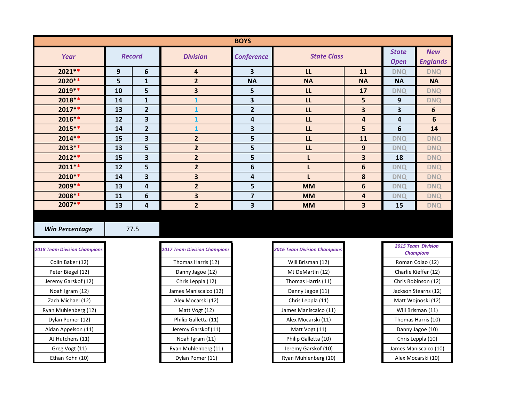| <b>BOYS</b> |               |                         |                         |                         |                    |                         |                             |                               |
|-------------|---------------|-------------------------|-------------------------|-------------------------|--------------------|-------------------------|-----------------------------|-------------------------------|
| Year        | <b>Record</b> |                         | <b>Division</b>         | <b>Conference</b>       | <b>State Class</b> |                         | <b>State</b><br><b>Open</b> | <b>New</b><br><b>Englands</b> |
| $2021**$    | 9             | 6                       | 4                       | 3                       | LL                 | <b>11</b>               | <b>DNQ</b>                  | <b>DNQ</b>                    |
| 2020 **     | 5             | $\mathbf{1}$            | $\overline{2}$          | <b>NA</b>               | <b>NA</b>          | <b>NA</b>               | <b>NA</b>                   | <b>NA</b>                     |
| $2019**$    | 10            | 5                       | 3                       | 5                       | LL                 | 17                      | <b>DNQ</b>                  | <b>DNQ</b>                    |
| $2018**$    | 14            | 1                       |                         | 3                       | LL                 | $5\phantom{a}$          | 9                           | <b>DNQ</b>                    |
| $2017**$    | 13            | $\overline{2}$          |                         | $\overline{2}$          | LL                 | $\overline{\mathbf{3}}$ | 3                           | 6                             |
| $2016***$   | 12            | $\overline{\mathbf{3}}$ |                         | 4                       | LL                 | 4                       | 4                           | 6                             |
| $2015***$   | 14            | $\overline{2}$          |                         | 3                       | LL                 | 5                       | 6                           | 14                            |
| $2014**$    | 15            | 3                       | $\overline{2}$          | 5                       | LL                 | 11                      | <b>DNQ</b>                  | <b>DNQ</b>                    |
| $2013**$    | 13            | 5                       | $\overline{2}$          | 5                       | L                  | 9                       | <b>DNQ</b>                  | <b>DNQ</b>                    |
| $2012**$    | 15            | 3                       | $\overline{2}$          | 5                       |                    | 3                       | 18                          | <b>DNQ</b>                    |
| $2011**$    | 12            | 5                       | $\overline{2}$          | 6                       |                    | 6                       | <b>DNQ</b>                  | <b>DNQ</b>                    |
| $2010**$    | 14            | 3                       | $\overline{\mathbf{3}}$ | 4                       |                    | 8                       | <b>DNQ</b>                  | <b>DNQ</b>                    |
| 2009 **     | 13            | 4                       | $\overline{2}$          | 5                       | <b>MM</b>          | 6                       | <b>DNQ</b>                  | <b>DNQ</b>                    |
| 2008 **     | 11            | 6                       | $\overline{\mathbf{3}}$ | $\overline{\mathbf{z}}$ | <b>MM</b>          | 4                       | <b>DNQ</b>                  | <b>DNQ</b>                    |
| $2007**$    | 13            | 4                       | $\overline{2}$          | 3                       | <b>MM</b>          | 3                       | 15                          | <b>DNQ</b>                    |

**Win Percentage** 77.5

| <b>2018 Team Division Champions</b> | <b>2017 Team Division Champions</b> | <b>2016 Team Division Champions</b> |
|-------------------------------------|-------------------------------------|-------------------------------------|
| Colin Baker (12)                    | Thomas Harris (12)                  | Will Brisman (12)                   |
| Peter Biegel (12)                   | Danny Jagoe (12)                    | MJ DeMartin (12)                    |
| Jeremy Garskof (12)                 | Chris Leppla (12)                   | Thomas Harris (11)                  |
| Noah Igram (12)                     | James Maniscalco (12)               | Danny Jagoe (11)                    |
| Zach Michael (12)                   | Alex Mocarski (12)                  | Chris Leppla (11)                   |
| Ryan Muhlenberg (12)                | Matt Vogt (12)                      | James Maniscalco (11)               |
| Dylan Pomer (12)                    | Philip Galletta (11)                | Alex Mocarski (11)                  |
| Aidan Appelson (11)                 | Jeremy Garskof (11)                 | Matt Vogt (11)                      |
| AJ Hutchens (11)                    | Noah Igram (11)                     | Philip Galletta (10)                |
| Greg Vogt (11)                      | Ryan Muhlenberg (11)                | Jeremy Garskof (10)                 |
| Ethan Kohn (10)                     | Dylan Pomer (11)                    | Ryan Muhlenberg (10)                |

| <b>8 Team Division Champions</b> | <b>2017 Team Division Champions</b> | <b>2016 Team Division Champio</b> |
|----------------------------------|-------------------------------------|-----------------------------------|
| Colin Baker (12)                 | Thomas Harris (12)                  | Will Brisman (12)                 |
| Peter Biegel (12)                | Danny Jagoe (12)                    | MJ DeMartin (12)                  |
| Jeremy Garskof (12)              | Chris Leppla (12)                   | Thomas Harris (11)                |
| Noah Igram (12)                  | James Maniscalco (12)               | Danny Jagoe (11)                  |
| Zach Michael (12)                | Alex Mocarski (12)                  | Chris Leppla (11)                 |
| Ryan Muhlenberg (12)             | Matt Vogt (12)                      | James Maniscalco (11)             |
| Dylan Pomer (12)                 | Philip Galletta (11)                | Alex Mocarski (11)                |
| Aidan Appelson (11)              | Jeremy Garskof (11)                 | Matt Vogt (11)                    |
| AJ Hutchens (11)                 | Noah Igram (11)                     | Philip Galletta (10)              |
| Greg Vogt (11)                   | Ryan Muhlenberg (11)                | Jeremy Garskof (10)               |
| Ethan Kohn (10)                  | Dylan Pomer (11)                    | Ryan Muhlenberg (10)              |

| <b>2016 Team Division Champions</b> |
|-------------------------------------|
| Will Brisman (12)                   |
| MJ DeMartin (12)                    |
| Thomas Harris (11)                  |
| Danny Jagoe (11)                    |
| Chris Leppla (11)                   |
| James Maniscalco (11)               |
| Alex Mocarski (11)                  |
| Matt Vogt (11)                      |
| Philip Galletta (10)                |
| Jeremy Garskof (10)                 |
| Ryan Muhlenberg (10)                |

| <b>2015 Team Division</b> |  |  |  |  |
|---------------------------|--|--|--|--|
| <b>Champions</b>          |  |  |  |  |
| Roman Colao (12)          |  |  |  |  |
| Charlie Kieffer (12)      |  |  |  |  |
| Chris Robinson (12)       |  |  |  |  |
| Jackson Stearns (12)      |  |  |  |  |
| Matt Wojnoski (12)        |  |  |  |  |
| Will Brisman (11)         |  |  |  |  |
| Thomas Harris (10)        |  |  |  |  |
| Danny Jagoe (10)          |  |  |  |  |
| Chris Leppla (10)         |  |  |  |  |
| James Maniscalco (10)     |  |  |  |  |
| Alex Mocarski (10)        |  |  |  |  |